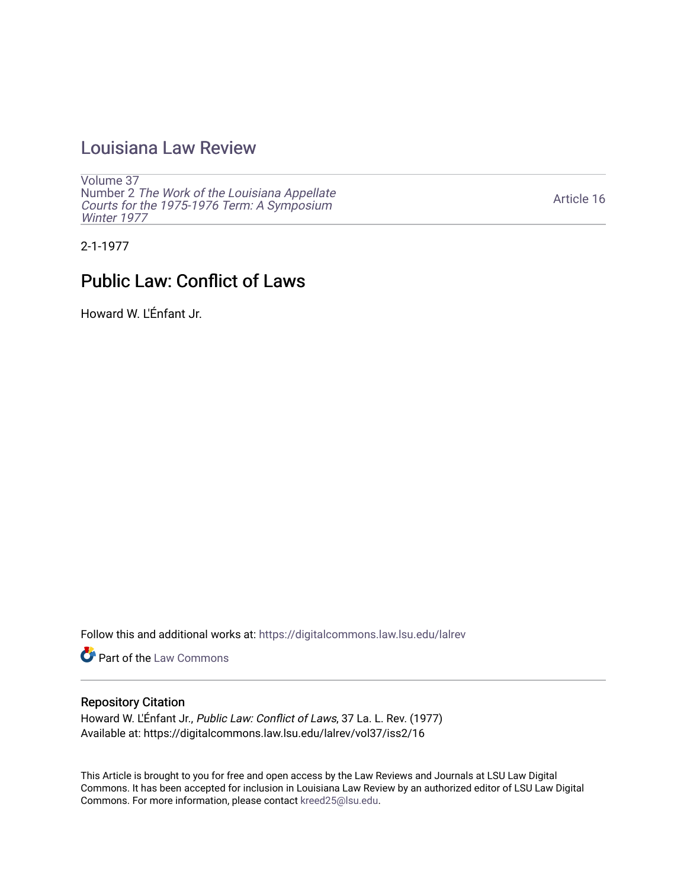## [Louisiana Law Review](https://digitalcommons.law.lsu.edu/lalrev)

[Volume 37](https://digitalcommons.law.lsu.edu/lalrev/vol37) Number 2 [The Work of the Louisiana Appellate](https://digitalcommons.law.lsu.edu/lalrev/vol37/iss2) [Courts for the 1975-1976 Term: A Symposium](https://digitalcommons.law.lsu.edu/lalrev/vol37/iss2)  [Winter 1977](https://digitalcommons.law.lsu.edu/lalrev/vol37/iss2)

[Article 16](https://digitalcommons.law.lsu.edu/lalrev/vol37/iss2/16) 

2-1-1977

# Public Law: Conflict of Laws

Howard W. L'Énfant Jr.

Follow this and additional works at: [https://digitalcommons.law.lsu.edu/lalrev](https://digitalcommons.law.lsu.edu/lalrev?utm_source=digitalcommons.law.lsu.edu%2Flalrev%2Fvol37%2Fiss2%2F16&utm_medium=PDF&utm_campaign=PDFCoverPages)

Part of the [Law Commons](http://network.bepress.com/hgg/discipline/578?utm_source=digitalcommons.law.lsu.edu%2Flalrev%2Fvol37%2Fiss2%2F16&utm_medium=PDF&utm_campaign=PDFCoverPages)

### Repository Citation

Howard W. L'Énfant Jr., Public Law: Conflict of Laws, 37 La. L. Rev. (1977) Available at: https://digitalcommons.law.lsu.edu/lalrev/vol37/iss2/16

This Article is brought to you for free and open access by the Law Reviews and Journals at LSU Law Digital Commons. It has been accepted for inclusion in Louisiana Law Review by an authorized editor of LSU Law Digital Commons. For more information, please contact [kreed25@lsu.edu](mailto:kreed25@lsu.edu).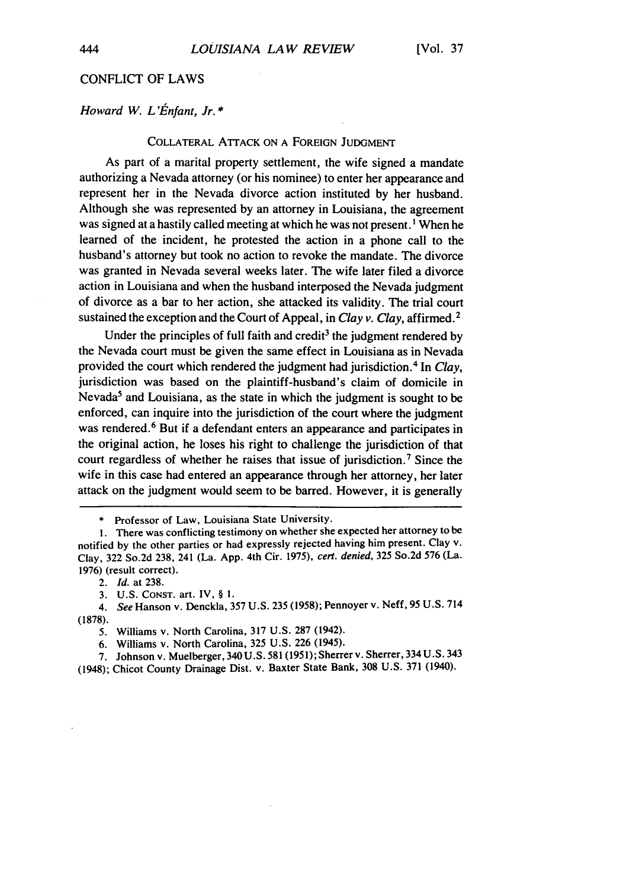#### CONFLICT OF LAWS

#### *Howard W. L'Enfant, Jr. \**

#### COLLATERAL ATTACK ON A FOREIGN JUDGMENT

As part of a marital property settlement, the wife signed a mandate authorizing a Nevada attorney (or his nominee) to enter her appearance and represent her in the Nevada divorce action instituted by her husband. Although she was represented by an attorney in Louisiana, the agreement was signed at a hastily called meeting at which he was not present.<sup>1</sup> When he learned of the incident, he protested the action in a phone call to the husband's attorney but took no action to revoke the mandate. The divorce was granted in Nevada several weeks later. The wife later filed a divorce action in Louisiana and when the husband interposed the Nevada judgment of divorce as a bar to her action, she attacked its validity. The trial court sustained the exception and the Court of Appeal, in *Clay v. Clay,* affirmed.<sup>2</sup>

Under the principles of full faith and credit<sup>3</sup> the judgment rendered by the Nevada court must be given the same effect in Louisiana as in Nevada provided the court which rendered the judgment had jurisdiction.4 In *Clay,* jurisdiction was based on the plaintiff-husband's claim of domicile in Nevada<sup>5</sup> and Louisiana, as the state in which the judgment is sought to be enforced, can inquire into the jurisdiction of the court where the judgment was rendered.<sup>6</sup> But if a defendant enters an appearance and participates in the original action, he loses his right to challenge the jurisdiction of that court regardless of whether he raises that issue of jurisdiction. 7 Since the wife in this case had entered an appearance through her attorney, her later attack on the judgment would seem to be barred. However, it is generally

<sup>•</sup> Professor of Law, Louisiana State University.

<sup>1.</sup> There was conflicting testimony on whether she expected her attorney to be notified by the other parties or had expressly rejected having him present. Clay v. Clay, 322 So.2d 238, 241 (La. App. 4th Cir. 1975), cert. *denied,* **325** So.2d 576 (La. 1976) (result correct).

<sup>2.</sup> *Id.* at 238.

<sup>3.</sup> U.S. CONST. art. IV, § I.

<sup>4.</sup> *See* Hanson v. Denckla, 357 U.S. 235 (1958); Pennoyer v. Neff, 95 U.S. 714 **(1878).**

**<sup>5.</sup>** Williams v. North Carolina, **317 U.S. 287** (1942).

**<sup>6.</sup>** Williams v. North Carolina, **325 U.S.** 226 (1945).

**<sup>7.</sup>** Johnson v. Muelberger, 340 **U.S. 581 (1951);** Sherrer v. Sherrer, 334 **U.S.** 343 (1948); Chicot County Drainage Dist. v. Baxter State Bank, **308 U.S. 371** (1940).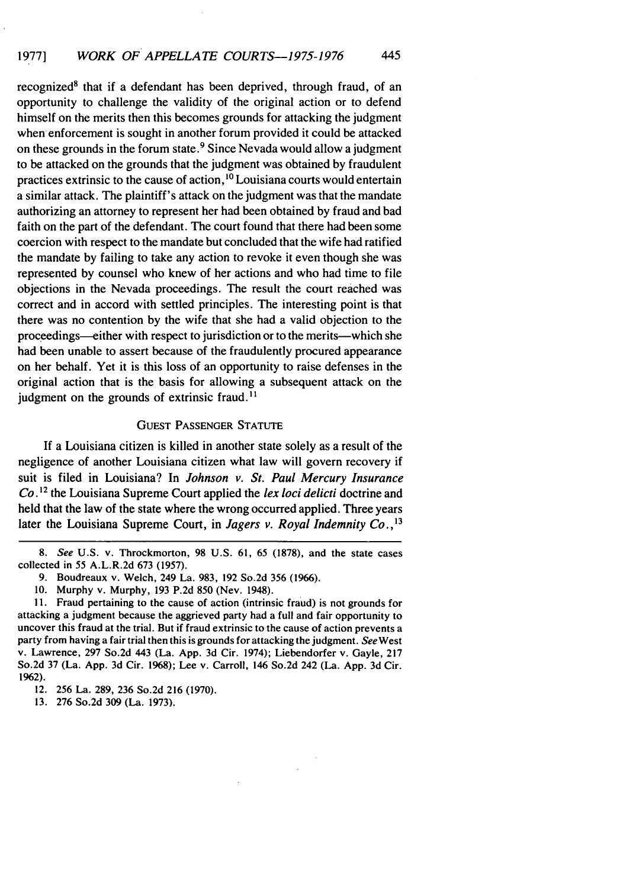recognized<sup>8</sup> that if a defendant has been deprived, through fraud, of an opportunity to challenge the validity of the original action or to defend himself on the merits then this becomes grounds for attacking the judgment when enforcement is sought in another forum provided it could be attacked on these grounds in the forum state.9 Since Nevada would allow a judgment to be attacked on the grounds that the judgment was obtained by fraudulent practices extrinsic to the cause of action, **"** Louisiana courts would entertain a similar attack. The plaintiff's attack on the judgment was that the mandate authorizing an attorney to represent her had been obtained by fraud and bad faith on the part of the defendant. The court found that there had been some coercion with respect to the mandate but concluded that the wife had ratified the mandate by failing to take any action to revoke it even though she was represented by counsel who knew of her actions and who had time to file objections in the Nevada proceedings. The result the court reached was correct and in accord with settled principles. The interesting point is that there was no contention by the wife that she had a valid objection to the proceedings—either with respect to jurisdiction or to the merits—which she had been unable to assert because of the fraudulently procured appearance on her behalf. Yet it is this loss of an opportunity to raise defenses in the original action that is the basis for allowing a subsequent attack on the judgment on the grounds of extrinsic fraud.<sup>11</sup>

#### GUEST PASSENGER STATUTE

If a Louisiana citizen is killed in another state solely as a result of the negligence of another Louisiana citizen what law will govern recovery if suit is filed in Louisiana? In *Johnson v. St. Paul Mercury Insurance Co. 2* the Louisiana Supreme Court applied the *lex loci delicti* doctrine and held that the law of the state where the wrong occurred applied. Three years later the Louisiana Supreme Court, in *Jagers v. Royal Indemnity Co., <sup>13</sup>*

*8. See* **U.S.** v. Throckmorton, 98 U.S. 61, 65 (1878), and the state cases collected in 55 A.L.R.2d 673 (1957).

9. Boudreaux v. Welch, 249 La. 983, 192 So.2d 356 (1966).

10. Murphy v. Murphy, 193 P.2d 850 (Nev. 1948).

11. Fraud pertaining to the cause of action (intrinsic fraud) is not grounds for attacking a judgment because the aggrieved party had a full and fair opportunity to uncover this fraud at the trial. But if fraud extrinsic to the cause of action prevents a party from having a fair trial then this is grounds for attacking the judgment. See West v. Lawrence, 297 So.2d 443 (La. App. 3d Cir. 1974); Liebendorfer v. Gayle, 217 So.2d 37 (La. App. 3d Cir. 1968); Lee v. Carroll, 146 So.2d 242 (La. App. 3d Cir. 1962).

12. 256 La. 289, 236 So.2d 216 (1970).

13. 276 So.2d 309 (La. 1973).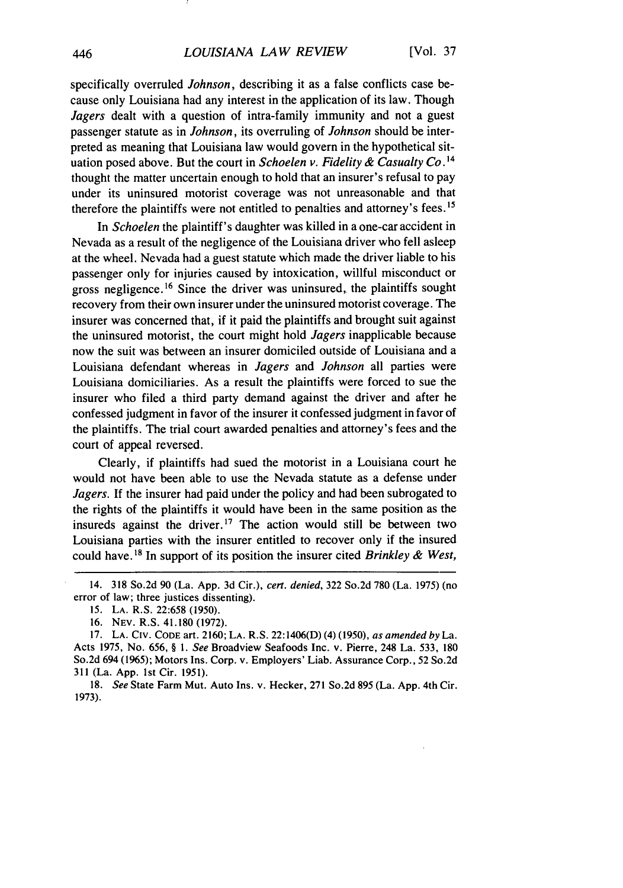specifically overruled *Johnson,* describing it as a false conflicts case because only Louisiana had any interest in the application of its law. Though *Jagers* dealt with a question of intra-family immunity and not a guest passenger statute as in *Johnson,* its overruling of *Johnson* should be interpreted as meaning that Louisiana law would govern in the hypothetical situation posed above. But the court in *Schoelen v. Fidelity & Casualty Co.* <sup>14</sup> thought the matter uncertain enough to hold that an insurer's refusal to pay under its uninsured motorist coverage was not unreasonable and that therefore the plaintiffs were not entitled to penalties and attorney's fees.<sup>15</sup>

In *Schoelen* the plaintiff's daughter was killed in a one-car accident in Nevada as a result of the negligence of the Louisiana driver who fell asleep at the wheel. Nevada had a guest statute which made the driver liable to his passenger only for injuries caused by intoxication, willful misconduct or gross negligence.<sup>16</sup> Since the driver was uninsured, the plaintiffs sought recovery from their own insurer under the uninsured motorist coverage. The insurer was concerned that, if it paid the plaintiffs and brought suit against the uninsured motorist, the court might hold *Jagers* inapplicable because now the suit was between an insurer domiciled outside of Louisiana and a Louisiana defendant whereas in *Jagers* and *Johnson* all parties were Louisiana domiciliaries. As a result the plaintiffs were forced to sue the insurer who filed a third party demand against the driver and after he confessed judgment in favor of the insurer it confessed judgment in favor of the plaintiffs. The trial court awarded penalties and attorney's fees and the court of appeal reversed.

Clearly, if plaintiffs had sued the motorist in a Louisiana court he would not have been able to use the Nevada statute as a defense under *Jagers.* If the insurer had paid under the policy and had been subrogated to the rights of the plaintiffs it would have been in the same position as the insureds against the driver.<sup>17</sup> The action would still be between two Louisiana parties with the insurer entitled to recover only if the insured could have.<sup>18</sup> In support of its position the insurer cited *Brinkley & West*,

<sup>14. 318</sup> So.2d 90 (La. App. 3d Cir.), cert. denied, 322 So.2d 780 (La. 1975) (no error of law; three justices dissenting).

<sup>15.</sup> **LA.** R.S. 22:658 (1950).

<sup>16.</sup> NEV. R.S. 41.180 (1972).

<sup>17.</sup> LA. CIV. CODE art. 2160; **LA.** R.S. 22:1406(D) (4) (1950), as amended **by** La. Acts 1975, No. 656, § 1. See Broadview Seafoods Inc. v. Pierre, 248 La. 533, 180 So.2d 694 (1965); Motors Ins. Corp. v. Employers' Liab. Assurance Corp., 52 So.2d 311 (La. App. 1st Cir. 1951).

<sup>18.</sup> See State Farm Mut. Auto Ins. v. Hecker, 271 So.2d 895 (La. App. 4th Cir. 1973).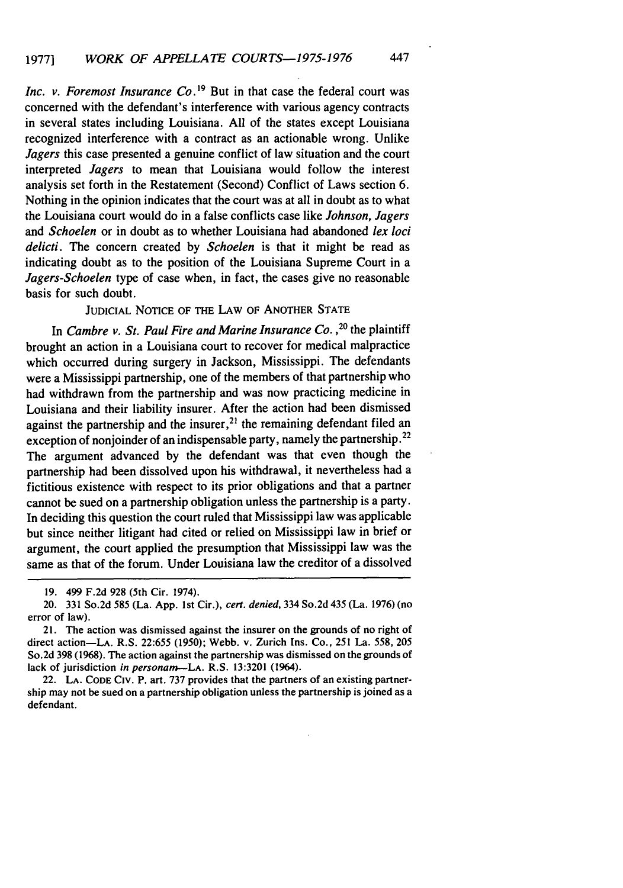*Inc. v. Foremost Insurance Co.*<sup>19</sup> But in that case the federal court was concerned with the defendant's interference with various agency contracts in several states including Louisiana. All of the states except Louisiana recognized interference with a contract as an actionable wrong. Unlike *Jagers* this case presented a genuine conflict of law situation and the court interpreted *Jagers* to mean that Louisiana would follow the interest analysis set forth in the Restatement (Second) Conflict of Laws section 6. Nothing in the opinion indicates that the court was at all in doubt as to what the Louisiana court would do in a false conflicts case like *Johnson, Jagers* and *Schoelen* or in doubt as to whether Louisiana had abandoned *lex loci delicti.* The concern created by *Schoelen* is that it might be read as indicating doubt as to the position of the Louisiana Supreme Court in a *Jagers-Schoelen* type of case when, in fact, the cases give no reasonable basis for such doubt.

JUDICIAL NOTICE OF THE LAW OF ANOTHER STATE

In *Cambre v. St. Paul Fire and Marine Insurance Co.*,<sup>20</sup> the plaintiff brought an action in a Louisiana court to recover for medical malpractice which occurred during surgery in Jackson, Mississippi. The defendants were a Mississippi partnership, one of the members of that partnership who had withdrawn from the partnership and was now practicing medicine in Louisiana and their liability insurer. After the action had been dismissed against the partnership and the insurer,<sup>21</sup> the remaining defendant filed an exception of nonjoinder of an indispensable party, namely the partnership.<sup>22</sup> The argument advanced by the defendant was that even though the partnership had been dissolved upon his withdrawal, it nevertheless had a fictitious existence with respect to its prior obligations and that a partner cannot be sued on a partnership obligation unless the partnership is a party. In deciding this question the court ruled that Mississippi law was applicable but since neither litigant had cited or relied on Mississippi law in brief or argument, the court applied the presumption that Mississippi law was the same as that of the forum. Under Louisiana law the creditor of a dissolved

22. LA. **CODE CIv.** P. art. **737** provides that the partners of an existing partnership may not be sued on a partnership obligation unless the partnership is joined as a defendant.

<sup>19. 499</sup> F.2d 928 (5th Cir. 1974).

<sup>20. 331</sup> So.2d 585 (La. App. 1st Cir.), *cert. denied,* 334 So.2d 435 (La. 1976) (no error of law).

<sup>21.</sup> The action was dismissed against the insurer on the grounds of no right of direct action-LA. R.S. 22:655 (1950); Webb. v. Zurich Ins. Co., 251 La. 558, 205 So.2d 398 (1968). The action against the partnership was dismissed on the grounds of lack of jurisdiction *in personam--LA.* R.S. 13:3201 (1964).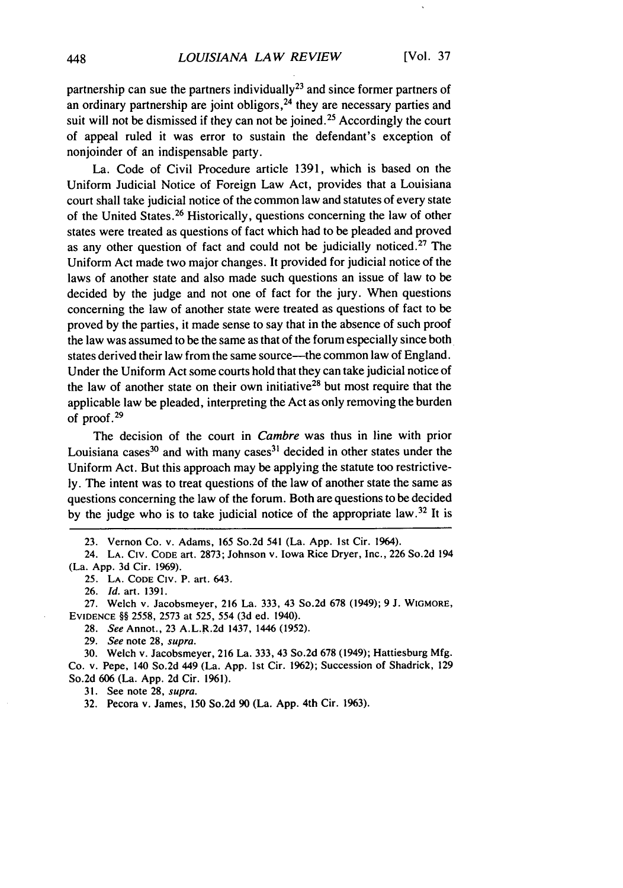partnership can sue the partners individually $^{23}$  and since former partners of an ordinary partnership are joint obligors,  $24$  they are necessary parties and suit will not be dismissed if they can not be joined.<sup>25</sup> Accordingly the court of appeal ruled it was error to sustain the defendant's exception of nonjoinder of an indispensable party.

La. Code of Civil Procedure article 1391, which is based on the Uniform Judicial Notice of Foreign Law Act, provides that a Louisiana court shall take judicial notice of the common law and statutes of every state of the United States. 26 Historically, questions concerning the law of other states were treated as questions of fact which had to be pleaded and proved as any other question of fact and could not be judicially noticed.<sup>27</sup> The Uniform Act made two major changes. It provided for judicial notice of the laws of another state and also made such questions an issue of law to be decided by the judge and not one of fact for the jury. When questions concerning the law of another state were treated as questions of fact to be proved by the parties, it made sense to say that in the absence of such proof the law was assumed to be the same as that of the forum especially since both states derived their law from the same source—the common law of England. Under the Uniform Act some courts hold that they can take judicial notice of the law of another state on their own initiative<sup>28</sup> but most require that the applicable law be pleaded, interpreting the Act as only removing the burden of proof. <sup>29</sup>

The decision of the court in *Cambre* was thus in line with prior Louisiana cases<sup>30</sup> and with many cases<sup>31</sup> decided in other states under the Uniform Act. But this approach may be applying the statute too restrictively. The intent was to treat questions of the law of another state the same as questions concerning the law of the forum. Both are questions to be decided by the judge who is to take judicial notice of the appropriate law. **32** It is

31. See note 28, *supra.*

32. Pecora v. James, 150 So.2d 90 (La. App. 4th Cir. 1963).

<sup>23.</sup> Vernon Co. v. Adams, 165 So.2d 541 (La. App. 1st Cir. 1964).

<sup>24.</sup> LA. CIv. CODE art. 2873; Johnson v. Iowa Rice Dryer, Inc., 226 So.2d 194 (La. App. 3d Cir. 1969).

<sup>25.</sup> LA. CODE CIV. P. art. 643.

<sup>26.</sup> *Id.* art. 1391.

<sup>27.</sup> Welch v. Jacobsmeyer, 216 La. 333, 43 So.2d 678 (1949); 9 J. WIGMORE, EVIDENCE §§ 2558, 2573 at 525, 554 (3d ed. 1940).

<sup>28.</sup> *See* Annot., 23 A.L.R.2d 1437, 1446 (1952).

<sup>29.</sup> *See* note 28, supra.

<sup>30.</sup> Welch v. Jacobsmeyer, 216 La. 333, 43 So.2d 678 (1949); Hattiesburg Mfg. Co. v. Pepe, 140 So.2d 449 (La. App. 1st Cir. 1962); Succession of Shadrick, 129 So.2d 606 (La. App. 2d Cir. 1961).